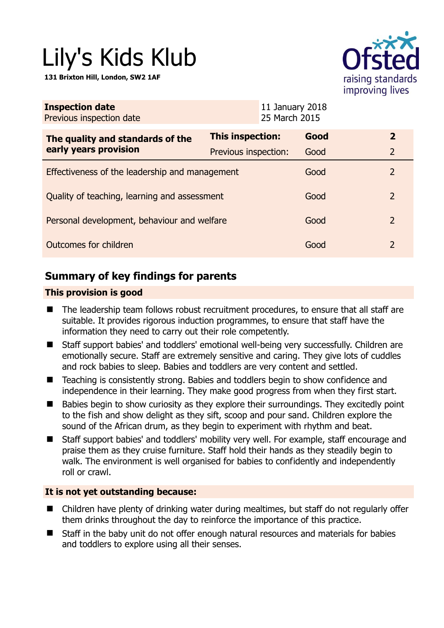# Lily's Kids Klub

**131 Brixton Hill, London, SW2 1AF** 



| <b>Inspection date</b><br>Previous inspection date        |                      | 11 January 2018<br>25 March 2015 |      |                |
|-----------------------------------------------------------|----------------------|----------------------------------|------|----------------|
| The quality and standards of the<br>early years provision | This inspection:     |                                  | Good | $\mathbf{2}$   |
|                                                           | Previous inspection: |                                  | Good | $\overline{2}$ |
| Effectiveness of the leadership and management            |                      |                                  | Good | 2              |
| Quality of teaching, learning and assessment              |                      |                                  | Good | 2              |
| Personal development, behaviour and welfare               |                      |                                  | Good | 2              |
| Outcomes for children                                     |                      |                                  | Good | 2              |

# **Summary of key findings for parents**

## **This provision is good**

- The leadership team follows robust recruitment procedures, to ensure that all staff are suitable. It provides rigorous induction programmes, to ensure that staff have the information they need to carry out their role competently.
- Staff support babies' and toddlers' emotional well-being very successfully. Children are emotionally secure. Staff are extremely sensitive and caring. They give lots of cuddles and rock babies to sleep. Babies and toddlers are very content and settled.
- Teaching is consistently strong. Babies and toddlers begin to show confidence and independence in their learning. They make good progress from when they first start.
- Babies begin to show curiosity as they explore their surroundings. They excitedly point to the fish and show delight as they sift, scoop and pour sand. Children explore the sound of the African drum, as they begin to experiment with rhythm and beat.
- Staff support babies' and toddlers' mobility very well. For example, staff encourage and praise them as they cruise furniture. Staff hold their hands as they steadily begin to walk. The environment is well organised for babies to confidently and independently roll or crawl.

#### **It is not yet outstanding because:**

- Children have plenty of drinking water during mealtimes, but staff do not regularly offer them drinks throughout the day to reinforce the importance of this practice.
- Staff in the baby unit do not offer enough natural resources and materials for babies and toddlers to explore using all their senses.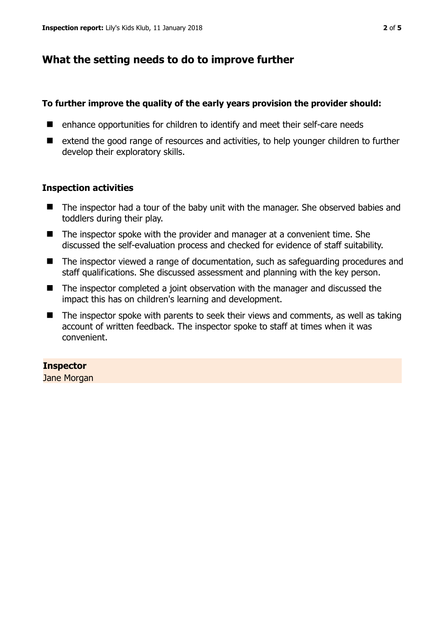# **What the setting needs to do to improve further**

## **To further improve the quality of the early years provision the provider should:**

- enhance opportunities for children to identify and meet their self-care needs
- extend the good range of resources and activities, to help younger children to further develop their exploratory skills.

## **Inspection activities**

- The inspector had a tour of the baby unit with the manager. She observed babies and toddlers during their play.
- The inspector spoke with the provider and manager at a convenient time. She discussed the self-evaluation process and checked for evidence of staff suitability.
- The inspector viewed a range of documentation, such as safeguarding procedures and staff qualifications. She discussed assessment and planning with the key person.
- The inspector completed a joint observation with the manager and discussed the impact this has on children's learning and development.
- $\blacksquare$  The inspector spoke with parents to seek their views and comments, as well as taking account of written feedback. The inspector spoke to staff at times when it was convenient.

## **Inspector**

Jane Morgan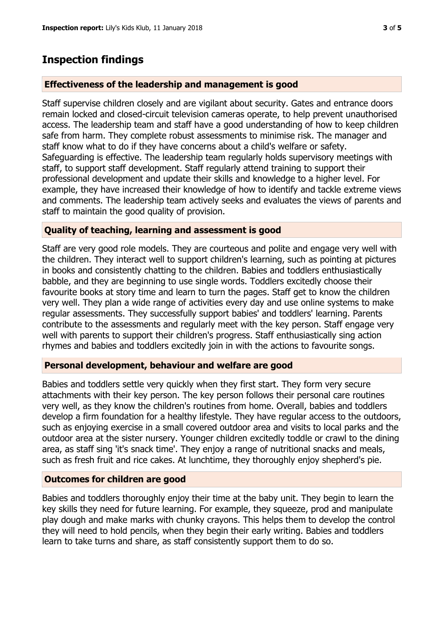## **Inspection findings**

#### **Effectiveness of the leadership and management is good**

Staff supervise children closely and are vigilant about security. Gates and entrance doors remain locked and closed-circuit television cameras operate, to help prevent unauthorised access. The leadership team and staff have a good understanding of how to keep children safe from harm. They complete robust assessments to minimise risk. The manager and staff know what to do if they have concerns about a child's welfare or safety. Safeguarding is effective. The leadership team regularly holds supervisory meetings with staff, to support staff development. Staff regularly attend training to support their professional development and update their skills and knowledge to a higher level. For example, they have increased their knowledge of how to identify and tackle extreme views and comments. The leadership team actively seeks and evaluates the views of parents and staff to maintain the good quality of provision.

#### **Quality of teaching, learning and assessment is good**

Staff are very good role models. They are courteous and polite and engage very well with the children. They interact well to support children's learning, such as pointing at pictures in books and consistently chatting to the children. Babies and toddlers enthusiastically babble, and they are beginning to use single words. Toddlers excitedly choose their favourite books at story time and learn to turn the pages. Staff get to know the children very well. They plan a wide range of activities every day and use online systems to make regular assessments. They successfully support babies' and toddlers' learning. Parents contribute to the assessments and regularly meet with the key person. Staff engage very well with parents to support their children's progress. Staff enthusiastically sing action rhymes and babies and toddlers excitedly join in with the actions to favourite songs.

#### **Personal development, behaviour and welfare are good**

Babies and toddlers settle very quickly when they first start. They form very secure attachments with their key person. The key person follows their personal care routines very well, as they know the children's routines from home. Overall, babies and toddlers develop a firm foundation for a healthy lifestyle. They have regular access to the outdoors, such as enjoying exercise in a small covered outdoor area and visits to local parks and the outdoor area at the sister nursery. Younger children excitedly toddle or crawl to the dining area, as staff sing 'it's snack time'. They enjoy a range of nutritional snacks and meals, such as fresh fruit and rice cakes. At lunchtime, they thoroughly enjoy shepherd's pie.

#### **Outcomes for children are good**

Babies and toddlers thoroughly enjoy their time at the baby unit. They begin to learn the key skills they need for future learning. For example, they squeeze, prod and manipulate play dough and make marks with chunky crayons. This helps them to develop the control they will need to hold pencils, when they begin their early writing. Babies and toddlers learn to take turns and share, as staff consistently support them to do so.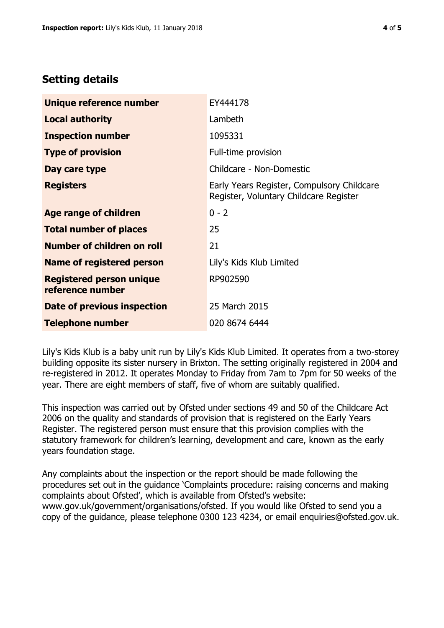# **Setting details**

| Unique reference number                             | EY444178                                                                             |  |
|-----------------------------------------------------|--------------------------------------------------------------------------------------|--|
| <b>Local authority</b>                              | Lambeth                                                                              |  |
| <b>Inspection number</b>                            | 1095331                                                                              |  |
| <b>Type of provision</b>                            | Full-time provision                                                                  |  |
| Day care type                                       | Childcare - Non-Domestic                                                             |  |
| <b>Registers</b>                                    | Early Years Register, Compulsory Childcare<br>Register, Voluntary Childcare Register |  |
| Age range of children                               | $0 - 2$                                                                              |  |
| <b>Total number of places</b>                       | 25                                                                                   |  |
| Number of children on roll                          | 21                                                                                   |  |
| Name of registered person                           | Lily's Kids Klub Limited                                                             |  |
| <b>Registered person unique</b><br>reference number | RP902590                                                                             |  |
| Date of previous inspection                         | 25 March 2015                                                                        |  |
| <b>Telephone number</b>                             | 020 8674 6444                                                                        |  |

Lily's Kids Klub is a baby unit run by Lily's Kids Klub Limited. It operates from a two-storey building opposite its sister nursery in Brixton. The setting originally registered in 2004 and re-registered in 2012. It operates Monday to Friday from 7am to 7pm for 50 weeks of the year. There are eight members of staff, five of whom are suitably qualified.

This inspection was carried out by Ofsted under sections 49 and 50 of the Childcare Act 2006 on the quality and standards of provision that is registered on the Early Years Register. The registered person must ensure that this provision complies with the statutory framework for children's learning, development and care, known as the early years foundation stage.

Any complaints about the inspection or the report should be made following the procedures set out in the guidance 'Complaints procedure: raising concerns and making complaints about Ofsted', which is available from Ofsted's website: www.gov.uk/government/organisations/ofsted. If you would like Ofsted to send you a copy of the guidance, please telephone 0300 123 4234, or email enquiries@ofsted.gov.uk.